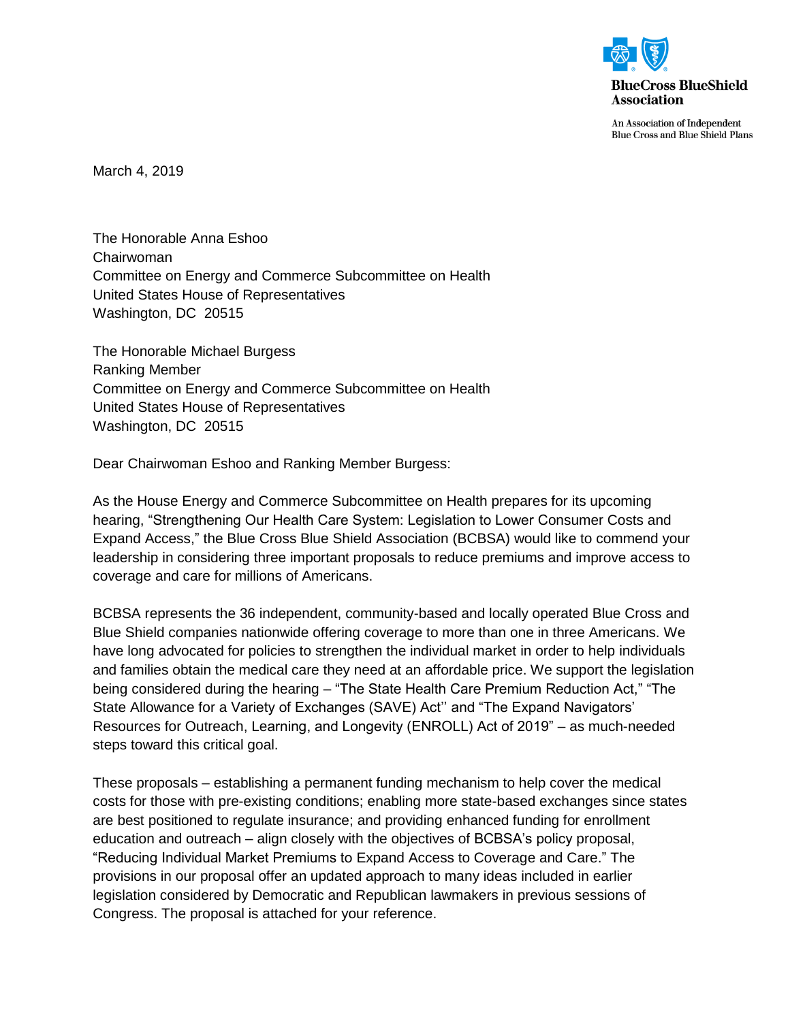

An Association of Independent **Blue Cross and Blue Shield Plans** 

March 4, 2019

The Honorable Anna Eshoo Chairwoman Committee on Energy and Commerce Subcommittee on Health United States House of Representatives Washington, DC 20515

The Honorable Michael Burgess Ranking Member Committee on Energy and Commerce Subcommittee on Health United States House of Representatives Washington, DC 20515

Dear Chairwoman Eshoo and Ranking Member Burgess:

As the House Energy and Commerce Subcommittee on Health prepares for its upcoming hearing, "Strengthening Our Health Care System: Legislation to Lower Consumer Costs and Expand Access," the Blue Cross Blue Shield Association (BCBSA) would like to commend your leadership in considering three important proposals to reduce premiums and improve access to coverage and care for millions of Americans.

BCBSA represents the 36 independent, community-based and locally operated Blue Cross and Blue Shield companies nationwide offering coverage to more than one in three Americans. We have long advocated for policies to strengthen the individual market in order to help individuals and families obtain the medical care they need at an affordable price. We support the legislation being considered during the hearing – "The State Health Care Premium Reduction Act," "The State Allowance for a Variety of Exchanges (SAVE) Act'' and "The Expand Navigators' Resources for Outreach, Learning, and Longevity (ENROLL) Act of 2019" – as much-needed steps toward this critical goal.

These proposals – establishing a permanent funding mechanism to help cover the medical costs for those with pre-existing conditions; enabling more state-based exchanges since states are best positioned to regulate insurance; and providing enhanced funding for enrollment education and outreach – align closely with the objectives of BCBSA's policy proposal, "Reducing Individual Market Premiums to Expand Access to Coverage and Care." The provisions in our proposal offer an updated approach to many ideas included in earlier legislation considered by Democratic and Republican lawmakers in previous sessions of Congress. The proposal is attached for your reference.